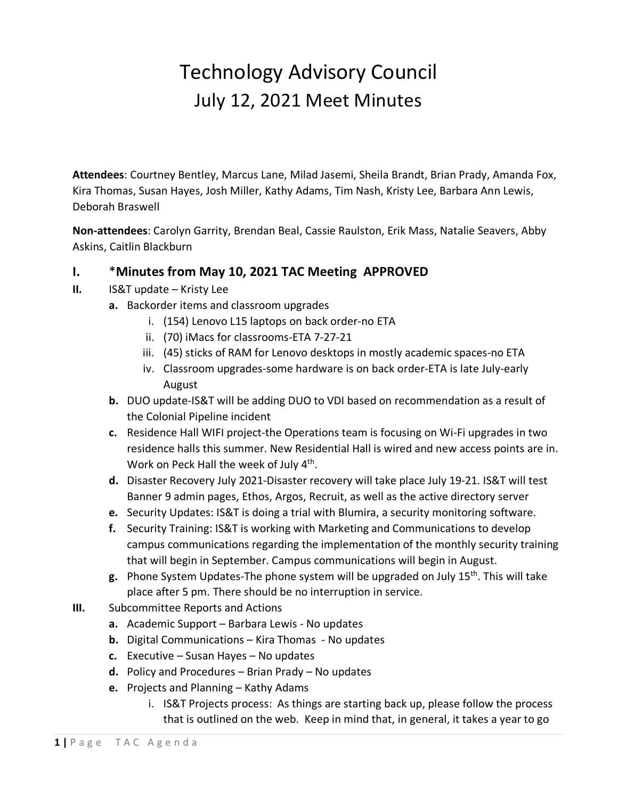## Technology Advisory Council July 12, 2021 Meet Minutes

**Attendees**: Courtney Bentley, Marcus Lane, Milad Jasemi, Sheila Brandt, Brian Prady, Amanda Fox, Kira Thomas, Susan Hayes, Josh Miller, Kathy Adams, Tim Nash, Kristy Lee, Barbara Ann Lewis, Deborah Braswell

**Non-attendees**: Carolyn Garrity, Brendan Beal, Cassie Raulston, Erik Mass, Natalie Seavers, Abby Askins, Caitlin Blackburn

## **I.** \***Minutes from May 10, 2021 TAC Meeting APPROVED**

- **II.** IS&T update Kristy Lee
	- **a.** Backorder items and classroom upgrades
		- i. (154) Lenovo L15 laptops on back order-no ETA
		- ii. (70) iMacs for classrooms-ETA 7-27-21
		- iii. (45) sticks of RAM for Lenovo desktops in mostly academic spaces-no ETA
		- iv. Classroom upgrades-some hardware is on back order-ETA is late July-early August
	- **b.** DUO update-IS&T will be adding DUO to VDI based on recommendation as a result of the Colonial Pipeline incident
	- **c.** Residence Hall WIFI project-the Operations team is focusing on Wi-Fi upgrades in two residence halls this summer. New Residential Hall is wired and new access points are in. Work on Peck Hall the week of July 4<sup>th</sup>.
	- **d.** Disaster Recovery July 2021-Disaster recovery will take place July 19-21. IS&T will test Banner 9 admin pages, Ethos, Argos, Recruit, as well as the active directory server
	- **e.** Security Updates: IS&T is doing a trial with Blumira, a security monitoring software.
	- **f.** Security Training: IS&T is working with Marketing and Communications to develop campus communications regarding the implementation of the monthly security training that will begin in September. Campus communications will begin in August.
	- **g.** Phone System Updates-The phone system will be upgraded on July 15th. This will take place after 5 pm. There should be no interruption in service.
- **III.** Subcommittee Reports and Actions
	- **a.** Academic Support Barbara Lewis No updates
	- **b.** Digital Communications Kira Thomas No updates
	- **c.** Executive Susan Hayes No updates
	- **d.** Policy and Procedures Brian Prady No updates
	- **e.** Projects and Planning Kathy Adams
		- i. IS&T Projects process: As things are starting back up, please follow the process that is outlined on the web. Keep in mind that, in general, it takes a year to go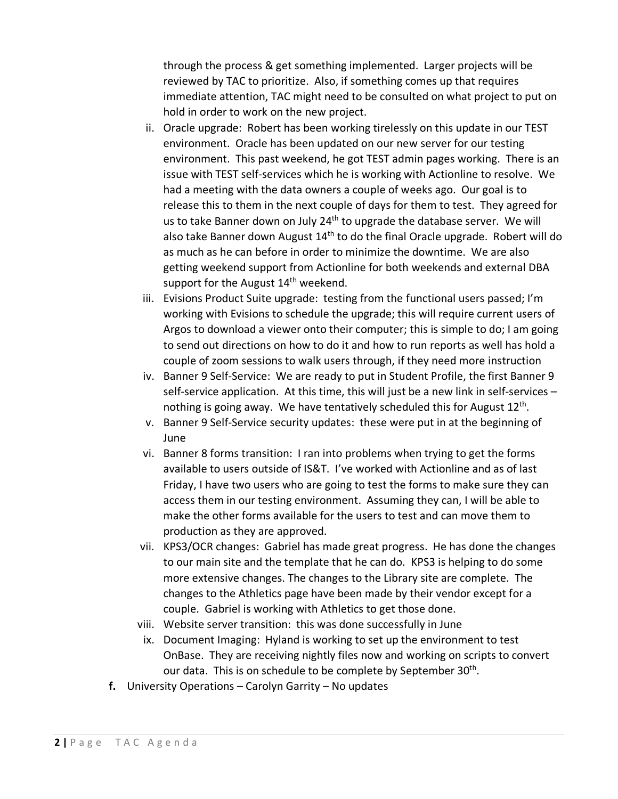through the process & get something implemented. Larger projects will be reviewed by TAC to prioritize. Also, if something comes up that requires immediate attention, TAC might need to be consulted on what project to put on hold in order to work on the new project.

- ii. Oracle upgrade: Robert has been working tirelessly on this update in our TEST environment. Oracle has been updated on our new server for our testing environment. This past weekend, he got TEST admin pages working. There is an issue with TEST self-services which he is working with Actionline to resolve. We had a meeting with the data owners a couple of weeks ago. Our goal is to release this to them in the next couple of days for them to test. They agreed for us to take Banner down on July 24<sup>th</sup> to upgrade the database server. We will also take Banner down August 14<sup>th</sup> to do the final Oracle upgrade. Robert will do as much as he can before in order to minimize the downtime. We are also getting weekend support from Actionline for both weekends and external DBA support for the August 14<sup>th</sup> weekend.
- iii. Evisions Product Suite upgrade: testing from the functional users passed; I'm working with Evisions to schedule the upgrade; this will require current users of Argos to download a viewer onto their computer; this is simple to do; I am going to send out directions on how to do it and how to run reports as well has hold a couple of zoom sessions to walk users through, if they need more instruction
- iv. Banner 9 Self-Service: We are ready to put in Student Profile, the first Banner 9 self-service application. At this time, this will just be a new link in self-services – nothing is going away. We have tentatively scheduled this for August 12<sup>th</sup>.
- v. Banner 9 Self-Service security updates: these were put in at the beginning of June
- vi. Banner 8 forms transition: I ran into problems when trying to get the forms available to users outside of IS&T. I've worked with Actionline and as of last Friday, I have two users who are going to test the forms to make sure they can access them in our testing environment. Assuming they can, I will be able to make the other forms available for the users to test and can move them to production as they are approved.
- vii. KPS3/OCR changes: Gabriel has made great progress. He has done the changes to our main site and the template that he can do. KPS3 is helping to do some more extensive changes. The changes to the Library site are complete. The changes to the Athletics page have been made by their vendor except for a couple. Gabriel is working with Athletics to get those done.
- viii. Website server transition: this was done successfully in June
- ix. Document Imaging: Hyland is working to set up the environment to test OnBase. They are receiving nightly files now and working on scripts to convert our data. This is on schedule to be complete by September 30<sup>th</sup>.
- **f.** University Operations Carolyn Garrity No updates